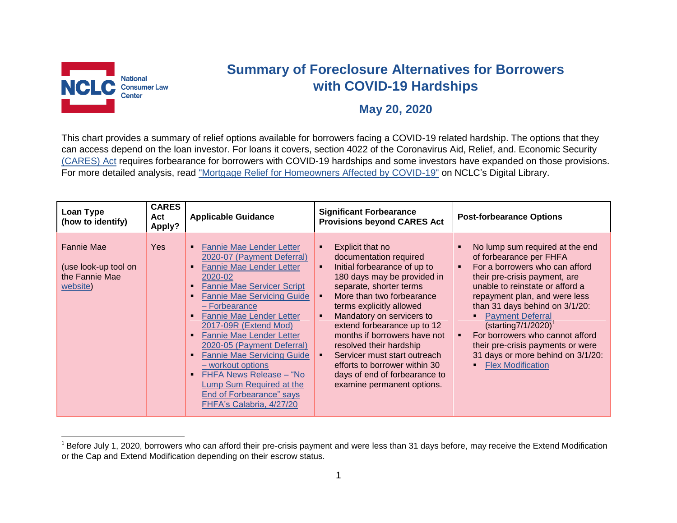

l

## **Summary of Foreclosure Alternatives for Borrowers with COVID-19 Hardships**

## **May 20, 2020**

This chart provides a summary of relief options available for borrowers facing a COVID-19 related hardship. The options that they can access depend on the loan investor. For loans it covers, section 4022 of the Coronavirus Aid, Relief, and. Economic Security [\(CARES\) Act](https://www.congress.gov/bill/116th-congress/house-bill/748/text?loclr=bloglaw) requires forbearance for borrowers with COVID-19 hardships and some investors have expanded on those provisions. For more detailed analysis, read ["Mortgage Relief for Homeowners Affected by COVID-19"](https://library.nclc.org/mortgage-relief-homeowners-affected-covid-19) on NCLC's Digital Library.

| Loan Type<br>(how to identify)                                          | <b>CARES</b><br>Act<br>Apply? | <b>Applicable Guidance</b>                                                                                                                                                                                                                                                                                                                                                                                                                                                                                        | <b>Significant Forbearance</b><br><b>Provisions beyond CARES Act</b>                                                                                                                                                                                                                                                                                                                                                                                                                          | <b>Post-forbearance Options</b>                                                                                                                                                                                                                                                                                                                                                                                                                    |
|-------------------------------------------------------------------------|-------------------------------|-------------------------------------------------------------------------------------------------------------------------------------------------------------------------------------------------------------------------------------------------------------------------------------------------------------------------------------------------------------------------------------------------------------------------------------------------------------------------------------------------------------------|-----------------------------------------------------------------------------------------------------------------------------------------------------------------------------------------------------------------------------------------------------------------------------------------------------------------------------------------------------------------------------------------------------------------------------------------------------------------------------------------------|----------------------------------------------------------------------------------------------------------------------------------------------------------------------------------------------------------------------------------------------------------------------------------------------------------------------------------------------------------------------------------------------------------------------------------------------------|
| <b>Fannie Mae</b><br>(use look-up tool on<br>the Fannie Mae<br>website) | Yes                           | <b>Fannie Mae Lender Letter</b><br>٠<br>2020-07 (Payment Deferral)<br><b>Fannie Mae Lender Letter</b><br>2020-02<br><b>Fannie Mae Servicer Script</b><br><b>Fannie Mae Servicing Guide</b><br>- Forbearance<br><b>Fannie Mae Lender Letter</b><br>2017-09R (Extend Mod)<br><b>Fannie Mae Lender Letter</b><br>2020-05 (Payment Deferral)<br><b>Fannie Mae Servicing Guide</b><br>- workout options<br>FHFA News Release - "No<br>Lump Sum Required at the<br>End of Forbearance" says<br>FHFA's Calabria, 4/27/20 | Explicit that no<br>٠<br>documentation required<br>Initial forbearance of up to<br>$\blacksquare$<br>180 days may be provided in<br>separate, shorter terms<br>More than two forbearance<br>terms explicitly allowed<br>Mandatory on servicers to<br>$\blacksquare$<br>extend forbearance up to 12<br>months if borrowers have not<br>resolved their hardship<br>Servicer must start outreach<br>efforts to borrower within 30<br>days of end of forbearance to<br>examine permanent options. | No lump sum required at the end<br>of forbearance per FHFA<br>For a borrowers who can afford<br>$\blacksquare$<br>their pre-crisis payment, are<br>unable to reinstate or afford a<br>repayment plan, and were less<br>than 31 days behind on 3/1/20:<br><b>Payment Deferral</b><br>$(stating7/1/2020)^T$<br>For borrowers who cannot afford<br>their pre-crisis payments or were<br>31 days or more behind on 3/1/20:<br><b>Flex Modification</b> |

 $1$ Before July 1, 2020, borrowers who can afford their pre-crisis payment and were less than 31 days before, may receive the Extend Modification or the Cap and Extend Modification depending on their escrow status.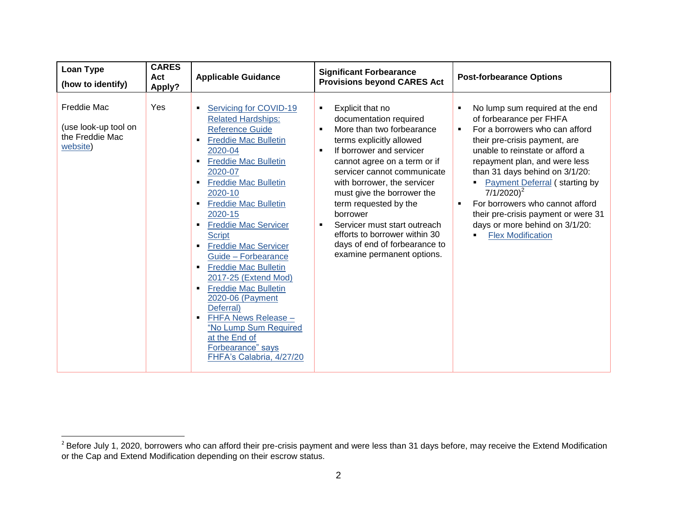| Loan Type<br>(how to identify)                                     | <b>CARES</b><br>Act<br>Apply? | <b>Applicable Guidance</b>                                                                                                                                                                                                                                                                                                                                                                                                                                                                                                                                                                                                                      | <b>Significant Forbearance</b><br><b>Provisions beyond CARES Act</b>                                                                                                                                                                                                                                                                                                                                                                                                                        | <b>Post-forbearance Options</b>                                                                                                                                                                                                                                                                                                                                                                                                           |
|--------------------------------------------------------------------|-------------------------------|-------------------------------------------------------------------------------------------------------------------------------------------------------------------------------------------------------------------------------------------------------------------------------------------------------------------------------------------------------------------------------------------------------------------------------------------------------------------------------------------------------------------------------------------------------------------------------------------------------------------------------------------------|---------------------------------------------------------------------------------------------------------------------------------------------------------------------------------------------------------------------------------------------------------------------------------------------------------------------------------------------------------------------------------------------------------------------------------------------------------------------------------------------|-------------------------------------------------------------------------------------------------------------------------------------------------------------------------------------------------------------------------------------------------------------------------------------------------------------------------------------------------------------------------------------------------------------------------------------------|
| Freddie Mac<br>(use look-up tool on<br>the Freddie Mac<br>website) | Yes                           | Servicing for COVID-19<br><b>Related Hardships:</b><br><b>Reference Guide</b><br><b>Freddie Mac Bulletin</b><br>2020-04<br><b>Freddie Mac Bulletin</b><br>2020-07<br><b>Freddie Mac Bulletin</b><br>$\blacksquare$<br>2020-10<br><b>Freddie Mac Bulletin</b><br>2020-15<br><b>Freddie Mac Servicer</b><br>٠<br><b>Script</b><br><b>Freddie Mac Servicer</b><br>٠<br>Guide - Forbearance<br><b>Freddie Mac Bulletin</b><br>٠<br>2017-25 (Extend Mod)<br><b>Freddie Mac Bulletin</b><br>٠<br>2020-06 (Payment<br>Deferral)<br>FHFA News Release -<br>٠<br>"No Lump Sum Required<br>at the End of<br>Forbearance" says<br>FHFA's Calabria, 4/27/20 | Explicit that no<br>٠<br>documentation required<br>More than two forbearance<br>$\blacksquare$<br>terms explicitly allowed<br>If borrower and servicer<br>$\blacksquare$<br>cannot agree on a term or if<br>servicer cannot communicate<br>with borrower, the servicer<br>must give the borrower the<br>term requested by the<br>borrower<br>Servicer must start outreach<br>$\blacksquare$<br>efforts to borrower within 30<br>days of end of forbearance to<br>examine permanent options. | No lump sum required at the end<br>of forbearance per FHFA<br>For a borrowers who can afford<br>٠<br>their pre-crisis payment, are<br>unable to reinstate or afford a<br>repayment plan, and were less<br>than 31 days behind on 3/1/20:<br><b>Payment Deferral (starting by</b><br>$7/1/2020)^2$<br>For borrowers who cannot afford<br>their pre-crisis payment or were 31<br>days or more behind on 3/1/20:<br><b>Flex Modification</b> |

<sup>&</sup>lt;u>2</u><br><sup>2</sup> Before July 1, 2020, borrowers who can afford their pre-crisis payment and were less than 31 days before, may receive the Extend Modification or the Cap and Extend Modification depending on their escrow status.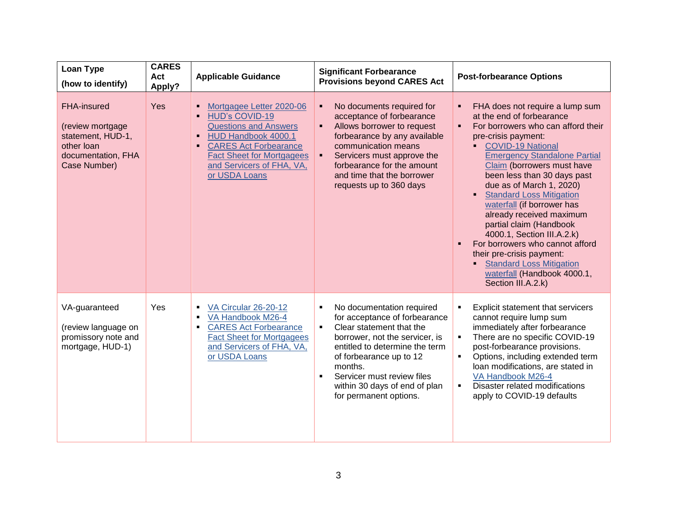| Loan Type<br>(how to identify)                                                                           | <b>CARES</b><br>Act<br>Apply? | <b>Applicable Guidance</b>                                                                                                                                                                                                 | <b>Significant Forbearance</b><br><b>Provisions beyond CARES Act</b>                                                                                                                                                                                                                                                                            | <b>Post-forbearance Options</b>                                                                                                                                                                                                                                                                                                                                                                                                                                                                                                                                                                                                       |
|----------------------------------------------------------------------------------------------------------|-------------------------------|----------------------------------------------------------------------------------------------------------------------------------------------------------------------------------------------------------------------------|-------------------------------------------------------------------------------------------------------------------------------------------------------------------------------------------------------------------------------------------------------------------------------------------------------------------------------------------------|---------------------------------------------------------------------------------------------------------------------------------------------------------------------------------------------------------------------------------------------------------------------------------------------------------------------------------------------------------------------------------------------------------------------------------------------------------------------------------------------------------------------------------------------------------------------------------------------------------------------------------------|
| FHA-insured<br>(review mortgage<br>statement, HUD-1,<br>other loan<br>documentation, FHA<br>Case Number) | Yes                           | Mortgagee Letter 2020-06<br><b>HUD's COVID-19</b><br><b>Questions and Answers</b><br>HUD Handbook 4000.1<br><b>CARES Act Forbearance</b><br><b>Fact Sheet for Mortgagees</b><br>and Servicers of FHA, VA,<br>or USDA Loans | No documents required for<br>п<br>acceptance of forbearance<br>Allows borrower to request<br>forbearance by any available<br>communication means<br>Servicers must approve the<br>п<br>forbearance for the amount<br>and time that the borrower<br>requests up to 360 days                                                                      | FHA does not require a lump sum<br>٠<br>at the end of forbearance<br>For borrowers who can afford their<br>$\blacksquare$<br>pre-crisis payment:<br>COVID-19 National<br><b>Emergency Standalone Partial</b><br>Claim (borrowers must have<br>been less than 30 days past<br>due as of March 1, 2020)<br><b>Standard Loss Mitigation</b><br>$\blacksquare$<br>waterfall (if borrower has<br>already received maximum<br>partial claim (Handbook<br>4000.1, Section III.A.2.k)<br>For borrowers who cannot afford<br>their pre-crisis payment:<br><b>Standard Loss Mitigation</b><br>waterfall (Handbook 4000.1,<br>Section III.A.2.k) |
| VA-guaranteed<br>(review language on<br>promissory note and<br>mortgage, HUD-1)                          | Yes                           | VA Circular 26-20-12<br>$\blacksquare$<br>VA Handbook M26-4<br>٠<br><b>CARES Act Forbearance</b><br>٠<br><b>Fact Sheet for Mortgagees</b><br>and Servicers of FHA, VA,<br>or USDA Loans                                    | No documentation required<br>$\blacksquare$<br>for acceptance of forbearance<br>Clear statement that the<br>$\blacksquare$<br>borrower, not the servicer, is<br>entitled to determine the term<br>of forbearance up to 12<br>months.<br>Servicer must review files<br>$\blacksquare$<br>within 30 days of end of plan<br>for permanent options. | Explicit statement that servicers<br>$\blacksquare$<br>cannot require lump sum<br>immediately after forbearance<br>There are no specific COVID-19<br>$\blacksquare$<br>post-forbearance provisions.<br>Options, including extended term<br>$\blacksquare$<br>loan modifications, are stated in<br>VA Handbook M26-4<br>Disaster related modifications<br>$\blacksquare$<br>apply to COVID-19 defaults                                                                                                                                                                                                                                 |